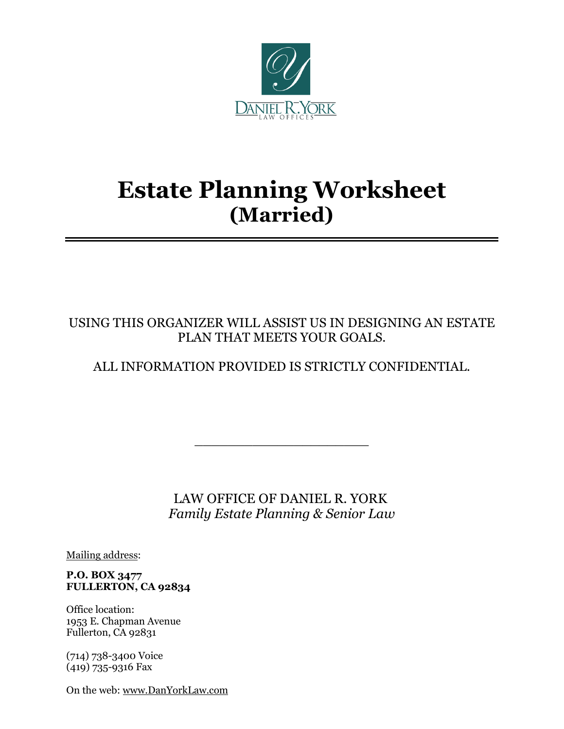

# **Estate Planning Worksheet (Married)**

USING THIS ORGANIZER WILL ASSIST US IN DESIGNING AN ESTATE PLAN THAT MEETS YOUR GOALS.

## ALL INFORMATION PROVIDED IS STRICTLY CONFIDENTIAL.

 LAW OFFICE OF DANIEL R. YORK *Family Estate Planning & Senior Law*

 $\overline{\phantom{a}}$  , where  $\overline{\phantom{a}}$  , where  $\overline{\phantom{a}}$  , where  $\overline{\phantom{a}}$ 

Mailing address:

#### **P.O. BOX 3477 FULLERTON, CA 92834**

Office location: 1953 E. Chapman Avenue Fullerton, CA 92831

(714) 738-3400 Voice (419) 735-9316 Fax

On the web: [www.DanYorkLaw.com](http://www.danyorklaw.com/)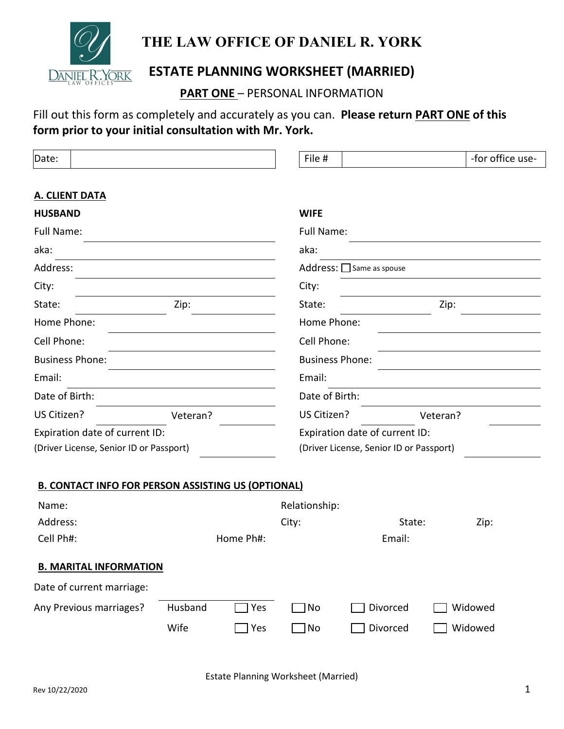

## **THE LAW OFFICE OF DANIEL R. YORK**

## **ESTATE PLANNING WORKSHEET (MARRIED)**

**PART ONE** – PERSONAL INFORMATION

## Fill out this form as completely and accurately as you can. **Please return PART ONE of this form prior to your initial consultation with Mr. York.**

| Date:                                                     |          |            | File #                                  |                         | -for office use- |  |  |  |
|-----------------------------------------------------------|----------|------------|-----------------------------------------|-------------------------|------------------|--|--|--|
|                                                           |          |            |                                         |                         |                  |  |  |  |
| <b>A. CLIENT DATA</b>                                     |          |            |                                         |                         |                  |  |  |  |
| <b>HUSBAND</b>                                            |          |            | <b>WIFE</b>                             |                         |                  |  |  |  |
| Full Name:                                                |          | Full Name: |                                         |                         |                  |  |  |  |
| aka:                                                      |          | aka:       |                                         |                         |                  |  |  |  |
| Address:                                                  |          |            |                                         | Address: Same as spouse |                  |  |  |  |
| City:                                                     |          |            | City:                                   |                         |                  |  |  |  |
| State:                                                    | Zip:     |            | State:                                  |                         | Zip:             |  |  |  |
| Home Phone:                                               |          |            | Home Phone:                             |                         |                  |  |  |  |
| Cell Phone:                                               |          |            | Cell Phone:                             |                         |                  |  |  |  |
| <b>Business Phone:</b>                                    |          |            | <b>Business Phone:</b>                  |                         |                  |  |  |  |
| Email:                                                    |          |            | Email:                                  |                         |                  |  |  |  |
| Date of Birth:                                            |          |            | Date of Birth:                          |                         |                  |  |  |  |
| US Citizen?                                               | Veteran? |            | US Citizen?                             |                         | Veteran?         |  |  |  |
| Expiration date of current ID:                            |          |            | Expiration date of current ID:          |                         |                  |  |  |  |
| (Driver License, Senior ID or Passport)                   |          |            | (Driver License, Senior ID or Passport) |                         |                  |  |  |  |
|                                                           |          |            |                                         |                         |                  |  |  |  |
| <b>B. CONTACT INFO FOR PERSON ASSISTING US (OPTIONAL)</b> |          |            |                                         |                         |                  |  |  |  |
| Name:                                                     |          |            | Relationship:                           |                         |                  |  |  |  |
| Address:                                                  |          |            | City:                                   | State:                  | Zip:             |  |  |  |
| Cell Ph#:                                                 |          | Home Ph#:  |                                         | Email:                  |                  |  |  |  |
| <b>B. MARITAL INFORMATION</b>                             |          |            |                                         |                         |                  |  |  |  |
| Date of current marriage:                                 |          |            |                                         |                         |                  |  |  |  |
| Any Previous marriages?                                   | Husband  | Yes        | No                                      | Divorced                | Widowed          |  |  |  |
|                                                           | Wife     | Yes        | No                                      | Divorced                | Widowed          |  |  |  |
|                                                           |          |            |                                         |                         |                  |  |  |  |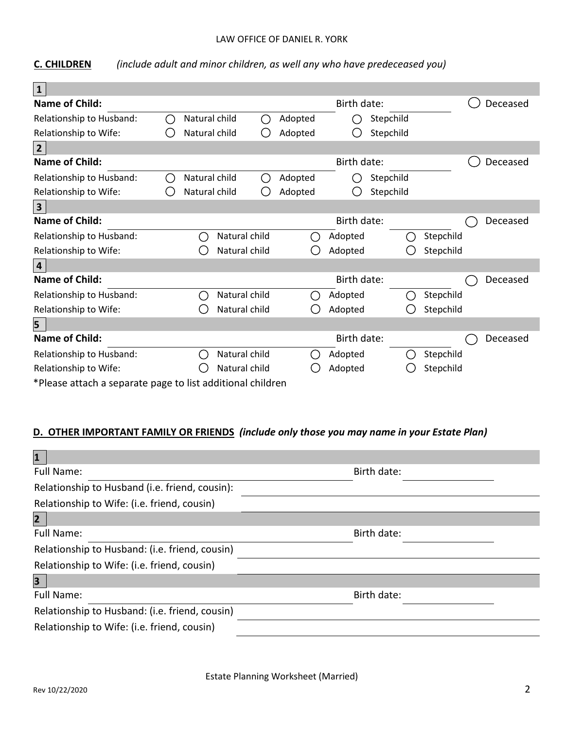#### LAW OFFICE OF DANIEL R. YORK

**C. CHILDREN** *(include adult and minor children, as well any who have predeceased you)*

| $\mathbf{1}$                                               |                                               |                                               |               |        |         |             |           |           |          |
|------------------------------------------------------------|-----------------------------------------------|-----------------------------------------------|---------------|--------|---------|-------------|-----------|-----------|----------|
| Name of Child:                                             |                                               |                                               |               |        |         | Birth date: |           |           | Deceased |
| Relationship to Husband:                                   | $\left( \begin{array}{c} \end{array} \right)$ | Natural child                                 |               | $(\ )$ | Adopted |             | Stepchild |           |          |
| Relationship to Wife:                                      |                                               | Natural child                                 |               |        | Adopted |             | Stepchild |           |          |
| $\overline{2}$                                             |                                               |                                               |               |        |         |             |           |           |          |
| <b>Name of Child:</b>                                      |                                               |                                               |               |        |         | Birth date: |           |           | Deceased |
| Relationship to Husband:                                   |                                               | Natural child                                 |               | (      | Adopted |             | Stepchild |           |          |
| Relationship to Wife:                                      |                                               | Natural child                                 |               |        | Adopted |             | Stepchild |           |          |
| $\mathbf{3}$                                               |                                               |                                               |               |        |         |             |           |           |          |
| Name of Child:                                             |                                               |                                               |               |        |         | Birth date: |           |           | Deceased |
| Relationship to Husband:                                   |                                               | - 1                                           | Natural child |        | I.      | Adopted     |           | Stepchild |          |
| Relationship to Wife:                                      |                                               |                                               | Natural child |        |         | Adopted     |           | Stepchild |          |
| $\overline{\mathbf{4}}$                                    |                                               |                                               |               |        |         |             |           |           |          |
| <b>Name of Child:</b>                                      |                                               |                                               |               |        |         | Birth date: |           |           | Deceased |
| Relationship to Husband:                                   |                                               | $\mathcal{L}$                                 | Natural child |        |         | Adopted     |           | Stepchild |          |
| Relationship to Wife:                                      |                                               |                                               | Natural child |        |         | Adopted     |           | Stepchild |          |
| 5                                                          |                                               |                                               |               |        |         |             |           |           |          |
| Name of Child:                                             |                                               |                                               |               |        |         | Birth date: |           |           | Deceased |
| Relationship to Husband:                                   |                                               | $\left( \begin{array}{c} \end{array} \right)$ | Natural child |        |         | Adopted     |           | Stepchild |          |
| Relationship to Wife:                                      |                                               |                                               | Natural child |        |         | Adopted     |           | Stepchild |          |
| *Please attach a separate page to list additional children |                                               |                                               |               |        |         |             |           |           |          |

#### **D. OTHER IMPORTANT FAMILY OR FRIENDS** *(include only those you may name in your Estate Plan)*

| $\mathbf{1}$                                   |             |
|------------------------------------------------|-------------|
| Full Name:                                     | Birth date: |
| Relationship to Husband (i.e. friend, cousin): |             |
| Relationship to Wife: (i.e. friend, cousin)    |             |
| $\overline{2}$                                 |             |
| <b>Full Name:</b>                              | Birth date: |
| Relationship to Husband: (i.e. friend, cousin) |             |
| Relationship to Wife: (i.e. friend, cousin)    |             |
| $\overline{\mathbf{3}}$                        |             |
| <b>Full Name:</b>                              | Birth date: |
| Relationship to Husband: (i.e. friend, cousin) |             |
| Relationship to Wife: (i.e. friend, cousin)    |             |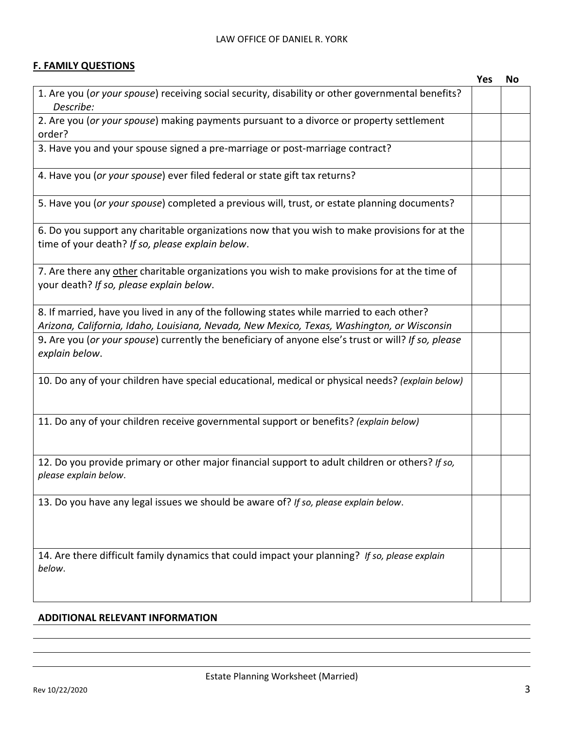#### **F. FAMILY QUESTIONS**

|                                                                                                                                                                                         | <b>Yes</b> | No |
|-----------------------------------------------------------------------------------------------------------------------------------------------------------------------------------------|------------|----|
| 1. Are you (or your spouse) receiving social security, disability or other governmental benefits?<br>Describe:                                                                          |            |    |
| 2. Are you (or your spouse) making payments pursuant to a divorce or property settlement<br>order?                                                                                      |            |    |
| 3. Have you and your spouse signed a pre-marriage or post-marriage contract?                                                                                                            |            |    |
| 4. Have you (or your spouse) ever filed federal or state gift tax returns?                                                                                                              |            |    |
| 5. Have you (or your spouse) completed a previous will, trust, or estate planning documents?                                                                                            |            |    |
| 6. Do you support any charitable organizations now that you wish to make provisions for at the<br>time of your death? If so, please explain below.                                      |            |    |
| 7. Are there any other charitable organizations you wish to make provisions for at the time of<br>your death? If so, please explain below.                                              |            |    |
| 8. If married, have you lived in any of the following states while married to each other?<br>Arizona, California, Idaho, Louisiana, Nevada, New Mexico, Texas, Washington, or Wisconsin |            |    |
| 9. Are you (or your spouse) currently the beneficiary of anyone else's trust or will? If so, please<br>explain below.                                                                   |            |    |
| 10. Do any of your children have special educational, medical or physical needs? (explain below)                                                                                        |            |    |
| 11. Do any of your children receive governmental support or benefits? (explain below)                                                                                                   |            |    |
| 12. Do you provide primary or other major financial support to adult children or others? If so,<br>please explain below.                                                                |            |    |
| 13. Do you have any legal issues we should be aware of? If so, please explain below.                                                                                                    |            |    |
| 14. Are there difficult family dynamics that could impact your planning? If so, please explain<br>below.                                                                                |            |    |

#### **ADDITIONAL RELEVANT INFORMATION**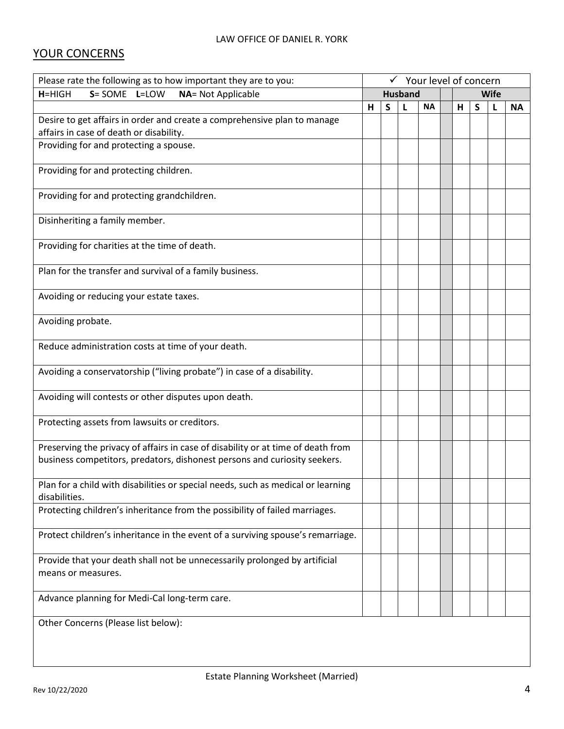## YOUR CONCERNS

| Please rate the following as to how important they are to you:                                                                                                | $\checkmark$ Your level of concern |                               |   |           |   |   |   |           |
|---------------------------------------------------------------------------------------------------------------------------------------------------------------|------------------------------------|-------------------------------|---|-----------|---|---|---|-----------|
| S= SOME L=LOW<br><b>NA= Not Applicable</b><br>$H=HIGH$                                                                                                        |                                    | <b>Husband</b><br><b>Wife</b> |   |           |   |   |   |           |
|                                                                                                                                                               | H                                  | S                             | L | <b>NA</b> | н | S | L | <b>NA</b> |
| Desire to get affairs in order and create a comprehensive plan to manage<br>affairs in case of death or disability.                                           |                                    |                               |   |           |   |   |   |           |
| Providing for and protecting a spouse.                                                                                                                        |                                    |                               |   |           |   |   |   |           |
| Providing for and protecting children.                                                                                                                        |                                    |                               |   |           |   |   |   |           |
| Providing for and protecting grandchildren.                                                                                                                   |                                    |                               |   |           |   |   |   |           |
| Disinheriting a family member.                                                                                                                                |                                    |                               |   |           |   |   |   |           |
| Providing for charities at the time of death.                                                                                                                 |                                    |                               |   |           |   |   |   |           |
| Plan for the transfer and survival of a family business.                                                                                                      |                                    |                               |   |           |   |   |   |           |
| Avoiding or reducing your estate taxes.                                                                                                                       |                                    |                               |   |           |   |   |   |           |
| Avoiding probate.                                                                                                                                             |                                    |                               |   |           |   |   |   |           |
| Reduce administration costs at time of your death.                                                                                                            |                                    |                               |   |           |   |   |   |           |
| Avoiding a conservatorship ("living probate") in case of a disability.                                                                                        |                                    |                               |   |           |   |   |   |           |
| Avoiding will contests or other disputes upon death.                                                                                                          |                                    |                               |   |           |   |   |   |           |
| Protecting assets from lawsuits or creditors.                                                                                                                 |                                    |                               |   |           |   |   |   |           |
| Preserving the privacy of affairs in case of disability or at time of death from<br>business competitors, predators, dishonest persons and curiosity seekers. |                                    |                               |   |           |   |   |   |           |
|                                                                                                                                                               |                                    |                               |   |           |   |   |   |           |
| Plan for a child with disabilities or special needs, such as medical or learning<br>disabilities.                                                             |                                    |                               |   |           |   |   |   |           |
| Protecting children's inheritance from the possibility of failed marriages.                                                                                   |                                    |                               |   |           |   |   |   |           |
| Protect children's inheritance in the event of a surviving spouse's remarriage.                                                                               |                                    |                               |   |           |   |   |   |           |
| Provide that your death shall not be unnecessarily prolonged by artificial<br>means or measures.                                                              |                                    |                               |   |           |   |   |   |           |
| Advance planning for Medi-Cal long-term care.                                                                                                                 |                                    |                               |   |           |   |   |   |           |
| Other Concerns (Please list below):                                                                                                                           |                                    |                               |   |           |   |   |   |           |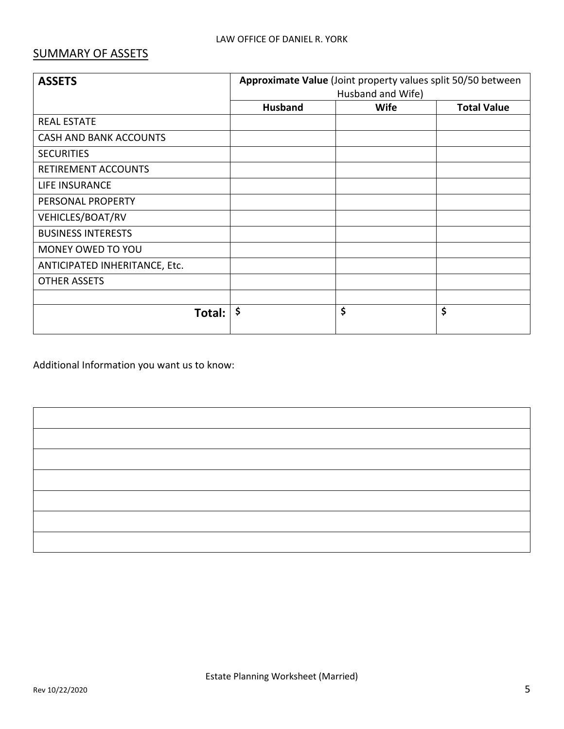### SUMMARY OF ASSETS

| <b>ASSETS</b>                 | Approximate Value (Joint property values split 50/50 between |             |                    |  |  |  |
|-------------------------------|--------------------------------------------------------------|-------------|--------------------|--|--|--|
|                               | Husband and Wife)                                            |             |                    |  |  |  |
|                               | <b>Husband</b>                                               | <b>Wife</b> | <b>Total Value</b> |  |  |  |
| <b>REAL ESTATE</b>            |                                                              |             |                    |  |  |  |
| <b>CASH AND BANK ACCOUNTS</b> |                                                              |             |                    |  |  |  |
| <b>SECURITIES</b>             |                                                              |             |                    |  |  |  |
| RETIREMENT ACCOUNTS           |                                                              |             |                    |  |  |  |
| <b>LIFE INSURANCE</b>         |                                                              |             |                    |  |  |  |
| PERSONAL PROPERTY             |                                                              |             |                    |  |  |  |
| VEHICLES/BOAT/RV              |                                                              |             |                    |  |  |  |
| <b>BUSINESS INTERESTS</b>     |                                                              |             |                    |  |  |  |
| MONEY OWED TO YOU             |                                                              |             |                    |  |  |  |
| ANTICIPATED INHERITANCE, Etc. |                                                              |             |                    |  |  |  |
| <b>OTHER ASSETS</b>           |                                                              |             |                    |  |  |  |
|                               |                                                              |             |                    |  |  |  |
| Total:                        | $\ddot{\bm{\zeta}}$                                          | \$          | \$                 |  |  |  |

Additional Information you want us to know: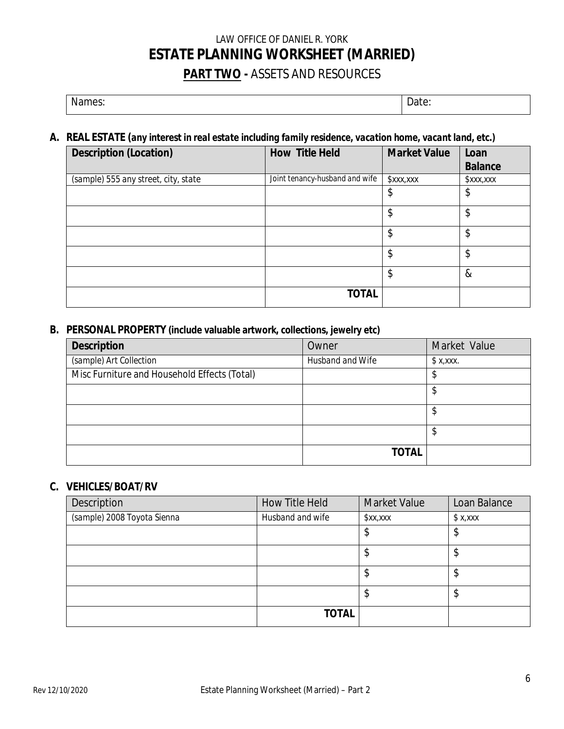## LAW OFFICE OF DANIEL R. YORK **ESTATE PLANNING WORKSHEET (MARRIED) PART TWO -** ASSETS AND RESOURCES

Names: 2008 | Date: 2008 | Date: 2008 | Date: 2008 | Date: 2008 | Date: 2008 | Date: 2008 | Date: 2008 | Date:

#### **A. REAL ESTATE (***any interest in real estate including family residence, vacation home, vacant land, etc.)*

| Description (Location)               | How Title Held                 | Market Value | Loan    |
|--------------------------------------|--------------------------------|--------------|---------|
|                                      |                                |              | Balance |
| (sample) 555 any street, city, state | Joint tenancy-husband and wife | x, x, x      | xx, x   |
|                                      |                                | \$           | \$      |
|                                      |                                | \$           | \$      |
|                                      |                                | \$           | \$      |
|                                      |                                | \$           | \$      |
|                                      |                                | \$           | $\&$    |
|                                      | <b>TOTAL</b>                   |              |         |

#### **B. PERSONAL PROPERTY (include valuable artwork, collections, jewelry etc)**

| Description                                  | Owner            | Market Value |
|----------------------------------------------|------------------|--------------|
| (sample) Art Collection                      | Husband and Wife | \$X, XXX.    |
| Misc Furniture and Household Effects (Total) |                  | \$           |
|                                              |                  | \$           |
|                                              |                  | \$           |
|                                              |                  | \$           |
|                                              | <b>TOTAL</b>     |              |

#### **C. VEHICLES/BOAT/RV**

| Description                 | How Title Held   | <b>Market Value</b> | Loan Balance |
|-----------------------------|------------------|---------------------|--------------|
| (sample) 2008 Toyota Sienna | Husband and wife | x, x                | \$X, XXX     |
|                             |                  | \$                  | J            |
|                             |                  | \$                  |              |
|                             |                  | \$                  | Φ            |
|                             |                  | \$                  | Φ            |
|                             | <b>TOTAL</b>     |                     |              |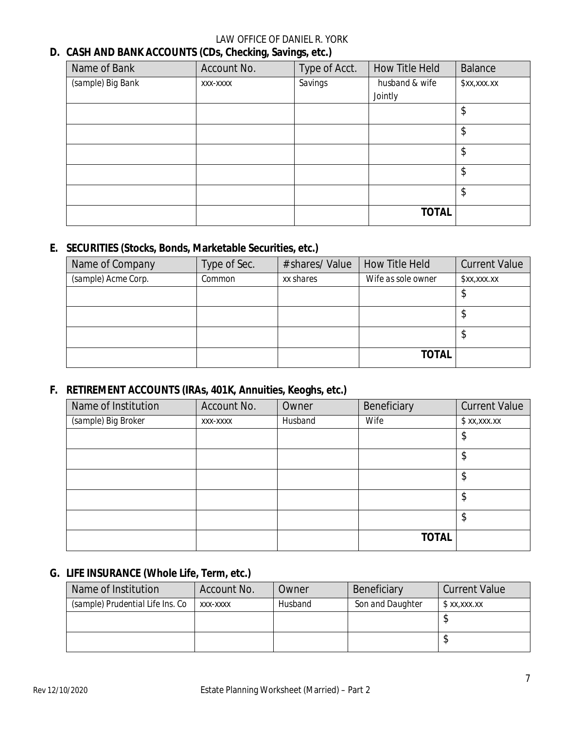#### LAW OFFICE OF DANIEL R. YORK

#### **D. CASH AND BANK ACCOUNTS (CDs, Checking, Savings, etc.)**

| Name of Bank      | Account No. | Type of Acct. | <b>How Title Held</b> | Balance     |
|-------------------|-------------|---------------|-----------------------|-------------|
| (sample) Big Bank | XXX-XXXX    | Savings       | husband & wife        | \$xx,xxx.xx |
|                   |             |               | Jointly               |             |
|                   |             |               |                       | \$          |
|                   |             |               |                       | \$          |
|                   |             |               |                       | \$          |
|                   |             |               |                       | \$          |
|                   |             |               |                       | \$          |
|                   |             |               | <b>TOTAL</b>          |             |

#### **E. SECURITIES (Stocks, Bonds, Marketable Securities, etc.)**

| Name of Company     | Type of Sec. | # shares/ Value | How Title Held     | <b>Current Value</b> |
|---------------------|--------------|-----------------|--------------------|----------------------|
| (sample) Acme Corp. | Common       | xx shares       | Wife as sole owner | x, x, x, x           |
|                     |              |                 |                    | P                    |
|                     |              |                 |                    | Φ                    |
|                     |              |                 |                    | ♪                    |
|                     |              |                 | <b>TOTAL</b>       |                      |

#### **F. RETIREMENT ACCOUNTS (IRAs, 401K, Annuities, Keoghs, etc.)**

| Name of Institution | Account No. | Owner   | Beneficiary  | <b>Current Value</b> |
|---------------------|-------------|---------|--------------|----------------------|
| (sample) Big Broker | XXX-XXXX    | Husband | Wife         | x, x, x, x           |
|                     |             |         |              | \$                   |
|                     |             |         |              | \$                   |
|                     |             |         |              | \$                   |
|                     |             |         |              | \$                   |
|                     |             |         |              | \$                   |
|                     |             |         | <b>TOTAL</b> |                      |

#### **G. LIFE INSURANCE (Whole Life, Term, etc.)**

| Name of Institution              | Account No. | Owner          | Beneficiary      | <b>Current Value</b> |
|----------------------------------|-------------|----------------|------------------|----------------------|
| (sample) Prudential Life Ins. Co | XXX-XXXX    | <b>Husband</b> | Son and Daughter | \$xx,xxx.xx          |
|                                  |             |                |                  |                      |
|                                  |             |                |                  |                      |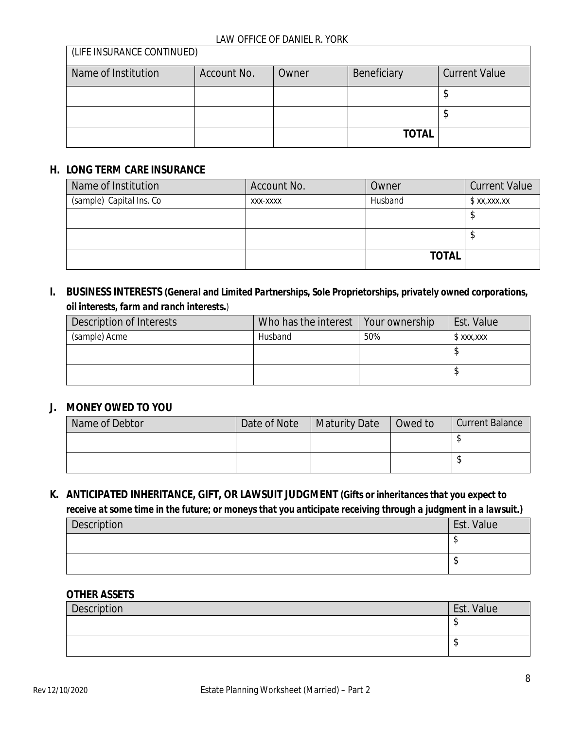| (LIFE INSURANCE CONTINUED) |             |       |              |                      |
|----------------------------|-------------|-------|--------------|----------------------|
| Name of Institution        | Account No. | Owner | Beneficiary  | <b>Current Value</b> |
|                            |             |       |              |                      |
|                            |             |       |              |                      |
|                            |             |       | <b>TOTAL</b> |                      |

#### **H. LONG TERM CARE INSURANCE**

 $(L)$ 

| Name of Institution      | Account No. | Owner        | <b>Current Value</b> |
|--------------------------|-------------|--------------|----------------------|
| (sample) Capital Ins. Co | XXX-XXXX    | Husband      | x, x, x, x           |
|                          |             |              |                      |
|                          |             |              |                      |
|                          |             | <b>TOTAL</b> |                      |

#### **I. BUSINESS INTERESTS** *(General and Limited Partnerships, Sole Proprietorships, privately owned corporations, oil interests, farm and ranch interests.)*

| Description of Interests | Who has the interest   Your ownership |     | Est. Value   |
|--------------------------|---------------------------------------|-----|--------------|
| (sample) Acme            | Husband                               | 50% | $$$ xxx, xxx |
|                          |                                       |     |              |
|                          |                                       |     |              |

#### **J. MONEY OWED TO YOU**

| Name of Debtor | Date of Note | <b>Maturity Date</b> | Owed to | <b>Current Balance</b> |
|----------------|--------------|----------------------|---------|------------------------|
|                |              |                      |         |                        |
|                |              |                      |         |                        |

## **K. ANTICIPATED INHERITANCE, GIFT, OR LAWSUIT JUDGMENT** *(Gifts or inheritances that you expect to*

*receive at some time in the future; or moneys that you anticipate receiving through a judgment in a lawsuit.)*

| Description | Est. Value |
|-------------|------------|
|             |            |
|             | ыJ         |

#### **OTHER ASSETS**

| Description | Est. Value |
|-------------|------------|
|             | - 14       |
|             |            |
|             |            |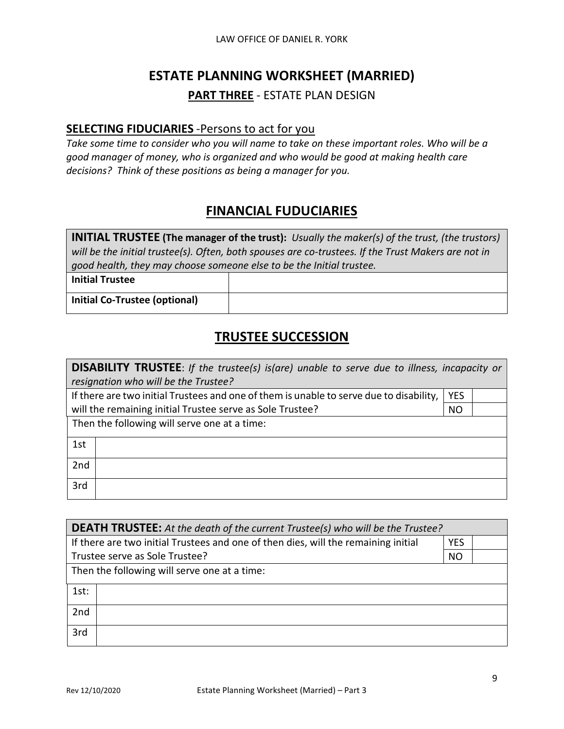## **ESTATE PLANNING WORKSHEET (MARRIED)**

#### **PART THREE** - ESTATE PLAN DESIGN

#### **SELECTING FIDUCIARIES** -Persons to act for you

*Take some time to consider who you will name to take on these important roles. Who will be a good manager of money, who is organized and who would be good at making health care decisions? Think of these positions as being a manager for you.* 

## **FINANCIAL FUDUCIARIES**

| <b>INITIAL TRUSTEE</b> (The manager of the trust): Usually the maker(s) of the trust, (the trustors) |
|------------------------------------------------------------------------------------------------------|
| will be the initial trustee(s). Often, both spouses are co-trustees. If the Trust Makers are not in  |
| good health, they may choose someone else to be the Initial trustee.                                 |
|                                                                                                      |

**Initial Trustee**

**Initial Co-Trustee (optional)**

## **TRUSTEE SUCCESSION**

| <b>DISABILITY TRUSTEE:</b> If the trustee(s) is(are) unable to serve due to illness, incapacity or    |           |  |  |  |
|-------------------------------------------------------------------------------------------------------|-----------|--|--|--|
| resignation who will be the Trustee?                                                                  |           |  |  |  |
| If there are two initial Trustees and one of them is unable to serve due to disability,<br><b>YES</b> |           |  |  |  |
| will the remaining initial Trustee serve as Sole Trustee?                                             | <b>NO</b> |  |  |  |
| Then the following will serve one at a time:                                                          |           |  |  |  |
| 1st                                                                                                   |           |  |  |  |
| 2nd                                                                                                   |           |  |  |  |
| 3rd                                                                                                   |           |  |  |  |

| <b>DEATH TRUSTEE:</b> At the death of the current Trustee(s) who will be the Trustee?            |           |  |  |  |
|--------------------------------------------------------------------------------------------------|-----------|--|--|--|
| If there are two initial Trustees and one of then dies, will the remaining initial<br><b>YES</b> |           |  |  |  |
| Trustee serve as Sole Trustee?                                                                   | <b>NO</b> |  |  |  |
| Then the following will serve one at a time:                                                     |           |  |  |  |
| 1st:                                                                                             |           |  |  |  |
| 2nd                                                                                              |           |  |  |  |
| 3rd                                                                                              |           |  |  |  |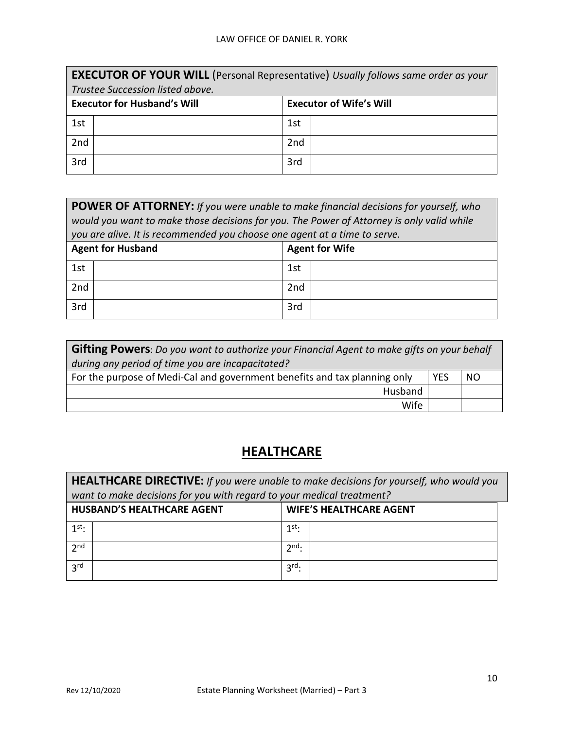|     | <b>EXECUTOR OF YOUR WILL</b> (Personal Representative) Usually follows same order as your |     |  |  |  |
|-----|-------------------------------------------------------------------------------------------|-----|--|--|--|
|     | Trustee Succession listed above.                                                          |     |  |  |  |
|     | <b>Executor for Husband's Will</b><br><b>Executor of Wife's Will</b>                      |     |  |  |  |
| 1st |                                                                                           | 1st |  |  |  |
| 2nd |                                                                                           | 2nd |  |  |  |
| 3rd |                                                                                           | 3rd |  |  |  |

| <b>POWER OF ATTORNEY:</b> If you were unable to make financial decisions for yourself, who<br>would you want to make those decisions for you. The Power of Attorney is only valid while<br>you are alive. It is recommended you choose one agent at a time to serve. |                                                   |     |  |  |
|----------------------------------------------------------------------------------------------------------------------------------------------------------------------------------------------------------------------------------------------------------------------|---------------------------------------------------|-----|--|--|
|                                                                                                                                                                                                                                                                      | <b>Agent for Husband</b><br><b>Agent for Wife</b> |     |  |  |
| 1st                                                                                                                                                                                                                                                                  |                                                   | 1st |  |  |
| 2nd<br>2nd                                                                                                                                                                                                                                                           |                                                   |     |  |  |
| 3rd                                                                                                                                                                                                                                                                  |                                                   | 3rd |  |  |

| <b>Gifting Powers</b> : Do you want to authorize your Financial Agent to make gifts on your behalf |  |  |  |
|----------------------------------------------------------------------------------------------------|--|--|--|
| during any period of time you are incapacitated?                                                   |  |  |  |
| For the purpose of Medi-Cal and government benefits and tax planning only<br><b>YES</b><br>NO      |  |  |  |
| Husband                                                                                            |  |  |  |
| Wife                                                                                               |  |  |  |

## **HEALTHCARE**

**HEALTHCARE DIRECTIVE:** *If you were unable to make decisions for yourself, who would you want to make decisions for you with regard to your medical treatment?*

|                 | <b>HUSBAND'S HEALTHCARE AGENT</b> | <b>WIFE'S HEALTHCARE AGENT</b> |  |
|-----------------|-----------------------------------|--------------------------------|--|
| $1$ st.         |                                   | 1st.<br>┻                      |  |
| 2 <sub>nd</sub> |                                   | $2nd$ :                        |  |
| 3 <sup>rd</sup> |                                   | $3^{\text{rd}}$ :              |  |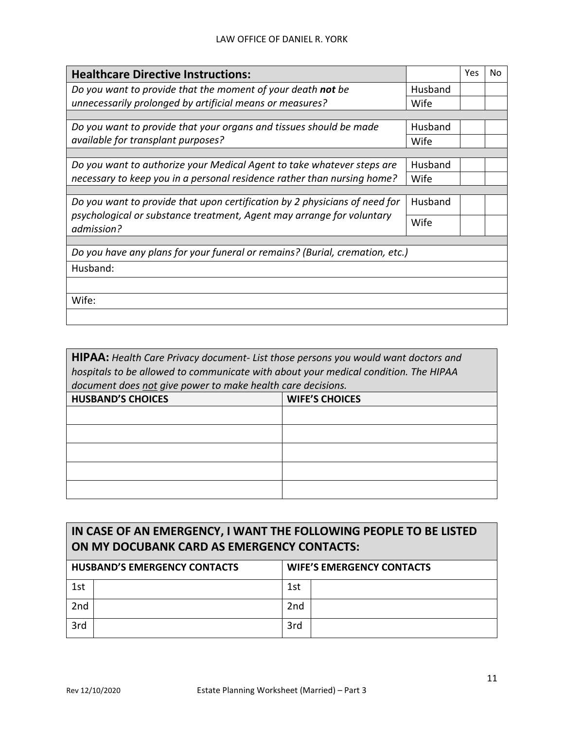| <b>Healthcare Directive Instructions:</b>                                                                                                                         |         | Yes | No |
|-------------------------------------------------------------------------------------------------------------------------------------------------------------------|---------|-----|----|
| Do you want to provide that the moment of your death not be                                                                                                       | Husband |     |    |
| unnecessarily prolonged by artificial means or measures?                                                                                                          | Wife    |     |    |
|                                                                                                                                                                   |         |     |    |
| Do you want to provide that your organs and tissues should be made                                                                                                | Husband |     |    |
| available for transplant purposes?                                                                                                                                | Wife    |     |    |
|                                                                                                                                                                   |         |     |    |
| Do you want to authorize your Medical Agent to take whatever steps are                                                                                            | Husband |     |    |
| necessary to keep you in a personal residence rather than nursing home?                                                                                           | Wife    |     |    |
|                                                                                                                                                                   |         |     |    |
| Do you want to provide that upon certification by 2 physicians of need for<br>psychological or substance treatment, Agent may arrange for voluntary<br>admission? |         |     |    |
|                                                                                                                                                                   |         |     |    |
|                                                                                                                                                                   |         |     |    |
| Do you have any plans for your funeral or remains? (Burial, cremation, etc.)                                                                                      |         |     |    |
| Husband:                                                                                                                                                          |         |     |    |
|                                                                                                                                                                   |         |     |    |
| Wife:                                                                                                                                                             |         |     |    |
|                                                                                                                                                                   |         |     |    |

| HIPAA: Health Care Privacy document- List those persons you would want doctors and  |                       |  |  |  |
|-------------------------------------------------------------------------------------|-----------------------|--|--|--|
| hospitals to be allowed to communicate with about your medical condition. The HIPAA |                       |  |  |  |
| document does not give power to make health care decisions.                         |                       |  |  |  |
| <b>HUSBAND'S CHOICES</b>                                                            | <b>WIFE'S CHOICES</b> |  |  |  |
|                                                                                     |                       |  |  |  |
|                                                                                     |                       |  |  |  |
|                                                                                     |                       |  |  |  |
|                                                                                     |                       |  |  |  |
|                                                                                     |                       |  |  |  |

## **IN CASE OF AN EMERGENCY, I WANT THE FOLLOWING PEOPLE TO BE LISTED ON MY DOCUBANK CARD AS EMERGENCY CONTACTS:**

| <b>HUSBAND'S EMERGENCY CONTACTS</b> |  | <b>WIFE'S EMERGENCY CONTACTS</b> |  |
|-------------------------------------|--|----------------------------------|--|
| 1st                                 |  | 1st                              |  |
| 2nd                                 |  | 2 <sub>nd</sub>                  |  |
| 3rd                                 |  | 3rd                              |  |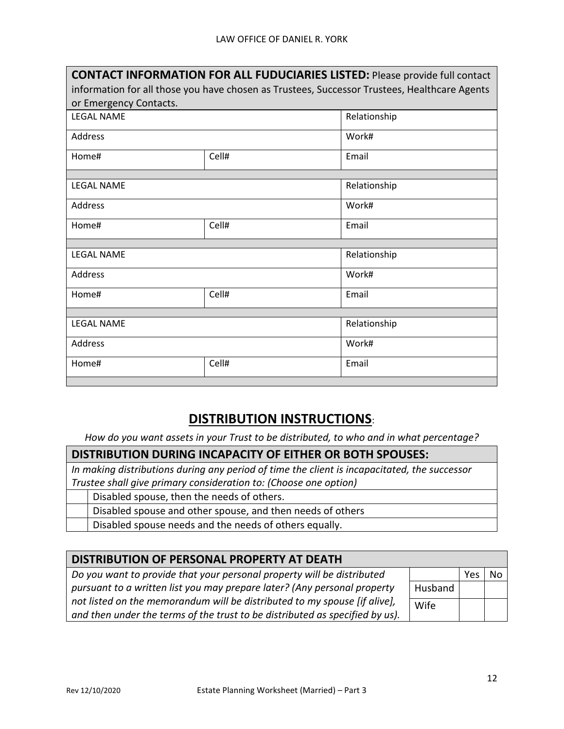| <b>CONTACT INFORMATION FOR ALL FUDUCIARIES LISTED: Please provide full contact</b>           |       |              |  |  |
|----------------------------------------------------------------------------------------------|-------|--------------|--|--|
| information for all those you have chosen as Trustees, Successor Trustees, Healthcare Agents |       |              |  |  |
| or Emergency Contacts.                                                                       |       |              |  |  |
| <b>LEGAL NAME</b>                                                                            |       | Relationship |  |  |
| Address                                                                                      |       | Work#        |  |  |
| Home#                                                                                        | Cell# | Email        |  |  |
|                                                                                              |       |              |  |  |
| <b>LEGAL NAME</b>                                                                            |       | Relationship |  |  |
| Address                                                                                      |       | Work#        |  |  |
| Home#                                                                                        | Cell# | Email        |  |  |
|                                                                                              |       |              |  |  |
| <b>LEGAL NAME</b>                                                                            |       | Relationship |  |  |
| Address                                                                                      |       | Work#        |  |  |
| Home#                                                                                        | Cell# | Email        |  |  |
|                                                                                              |       |              |  |  |
| <b>LEGAL NAME</b>                                                                            |       | Relationship |  |  |
| Address                                                                                      |       | Work#        |  |  |
| Home#                                                                                        | Cell# | Email        |  |  |
|                                                                                              |       |              |  |  |

## **DISTRIBUTION INSTRUCTIONS**:

*How do you want assets in your Trust to be distributed, to who and in what percentage?*

#### **DISTRIBUTION DURING INCAPACITY OF EITHER OR BOTH SPOUSES:**

*In making distributions during any period of time the client is incapacitated, the successor Trustee shall give primary consideration to: (Choose one option)*

- Disabled spouse, then the needs of others.
	- Disabled spouse and other spouse, and then needs of others

Disabled spouse needs and the needs of others equally.

| DISTRIBUTION OF PERSONAL PROPERTY AT DEATH                                   |         |     |    |  |
|------------------------------------------------------------------------------|---------|-----|----|--|
| Do you want to provide that your personal property will be distributed       |         | Yes | No |  |
| pursuant to a written list you may prepare later? (Any personal property     | Husband |     |    |  |
| not listed on the memorandum will be distributed to my spouse [if alive],    | Wife    |     |    |  |
| and then under the terms of the trust to be distributed as specified by us). |         |     |    |  |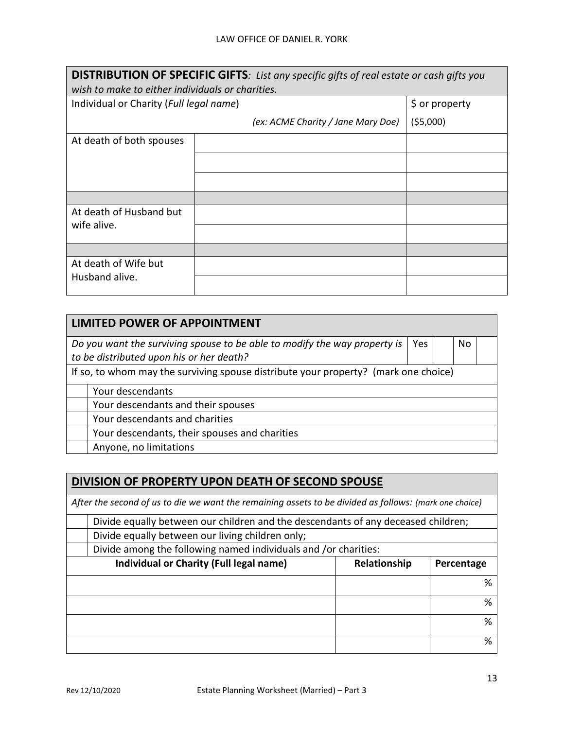| <b>DISTRIBUTION OF SPECIFIC GIFTS:</b> List any specific gifts of real estate or cash gifts you |                                    |          |  |  |
|-------------------------------------------------------------------------------------------------|------------------------------------|----------|--|--|
| wish to make to either individuals or charities.                                                |                                    |          |  |  |
| Individual or Charity (Full legal name)                                                         | \$ or property                     |          |  |  |
|                                                                                                 | (ex: ACME Charity / Jane Mary Doe) | (55,000) |  |  |
| At death of both spouses                                                                        |                                    |          |  |  |
|                                                                                                 |                                    |          |  |  |
|                                                                                                 |                                    |          |  |  |
|                                                                                                 |                                    |          |  |  |
| At death of Husband but                                                                         |                                    |          |  |  |
| wife alive.                                                                                     |                                    |          |  |  |
|                                                                                                 |                                    |          |  |  |
| At death of Wife but                                                                            |                                    |          |  |  |
| Husband alive.                                                                                  |                                    |          |  |  |

| <b>LIMITED POWER OF APPOINTMENT</b>                                                                                                     |  |  |  |  |  |  |
|-----------------------------------------------------------------------------------------------------------------------------------------|--|--|--|--|--|--|
| Do you want the surviving spouse to be able to modify the way property is $\vert$ Yes<br>No<br>to be distributed upon his or her death? |  |  |  |  |  |  |
| If so, to whom may the surviving spouse distribute your property? (mark one choice)                                                     |  |  |  |  |  |  |
| Your descendants                                                                                                                        |  |  |  |  |  |  |
| Your descendants and their spouses                                                                                                      |  |  |  |  |  |  |
| Your descendants and charities                                                                                                          |  |  |  |  |  |  |
| Your descendants, their spouses and charities                                                                                           |  |  |  |  |  |  |
| Anyone, no limitations                                                                                                                  |  |  |  |  |  |  |

#### **DIVISION OF PROPERTY UPON DEATH OF SECOND SPOUSE**

*After the second of us to die we want the remaining assets to be divided as follows: (mark one choice)*

| Divide equally between our children and the descendants of any deceased children; |  |   |
|-----------------------------------------------------------------------------------|--|---|
| Divide equally between our living children only;                                  |  |   |
| Divide among the following named individuals and /or charities:                   |  |   |
| Individual or Charity (Full legal name)<br>Relationship<br>Percentage             |  |   |
|                                                                                   |  | % |
|                                                                                   |  | % |
|                                                                                   |  | % |
|                                                                                   |  | % |